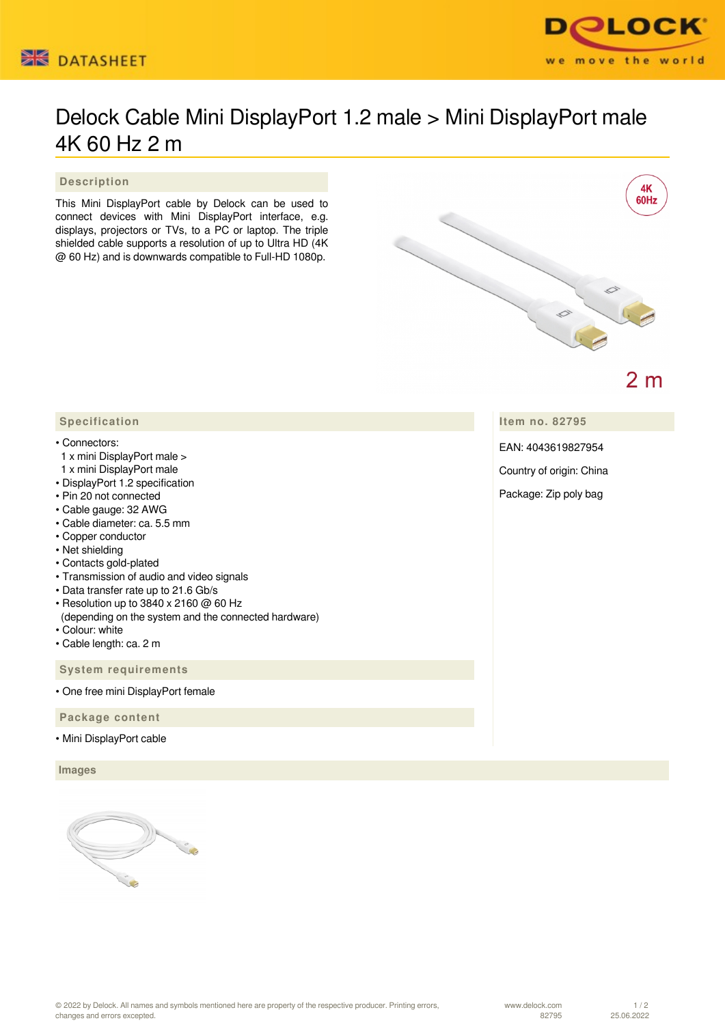



## Delock Cable Mini DisplayPort 1.2 male > Mini DisplayPort male 4K 60 Hz 2 m

 **Description**

This Mini DisplayPort cable by Delock can be used to connect devices with Mini DisplayPort interface, e.g. displays, projectors or TVs, to a PC or laptop. The triple shielded cable supports a resolution of up to Ultra HD (4K @ 60 Hz) and is downwards compatible to Full-HD 1080p.



**Item no. 82795**

EAN: 4043619827954

Country of origin: China

Package: Zip poly bag

## **Specification**

## • Connectors:

- 1 x mini DisplayPort male >
- 1 x mini DisplayPort male
- DisplayPort 1.2 specification
- Pin 20 not connected
- Cable gauge: 32 AWG
- Cable diameter: ca. 5.5 mm
- Copper conductor
- Net shielding
- Contacts gold-plated
- Transmission of audio and video signals
- Data transfer rate up to 21.6 Gb/s
- Resolution up to 3840 x 2160 @ 60 Hz
- (depending on the system and the connected hardware)
- Colour: white
- Cable length: ca. 2 m

 **System requirements**

• One free mini DisplayPort female

 **Package content**

• Mini DisplayPort cable

 **Images**